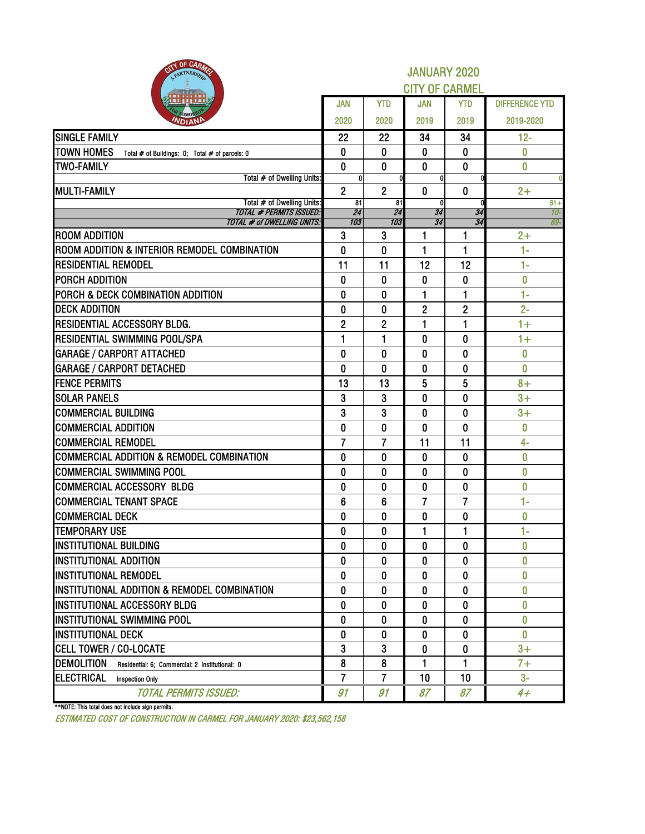| OF CARMS<br>PARTNERSH                                               | <b>JANUARY 2020</b><br><b>CITY OF CARMEL</b> |                |                    |                |                       |  |  |  |  |
|---------------------------------------------------------------------|----------------------------------------------|----------------|--------------------|----------------|-----------------------|--|--|--|--|
|                                                                     | <b>JAN</b>                                   | <b>YTD</b>     | <b>JAN</b>         | <b>YTD</b>     | <b>DIFFERENCE YTD</b> |  |  |  |  |
| <b>NDIAN</b>                                                        | 2020                                         | 2020           | 2019               | 2019           | 2019-2020             |  |  |  |  |
| <b>SINGLE FAMILY</b>                                                | 22                                           | 22             | 34                 | 34             | $12 -$                |  |  |  |  |
| <b>TOWN HOMES</b><br>Total # of Buildings: 0; Total # of parcels: 0 | 0                                            | 0              | 0                  | 0              | 0                     |  |  |  |  |
| <b>TWO-FAMILY</b>                                                   | $\bf{0}$                                     | $\bf{0}$       | $\bf{0}$           | $\mathbf{0}$   | $\bf{0}$              |  |  |  |  |
| Total # of Dwelling Units:                                          | 0                                            |                | $\mathbf{0}$       |                |                       |  |  |  |  |
| <b>MULTI-FAMILY</b>                                                 | $\overline{2}$                               | $\overline{2}$ | $\bf{0}$           | $\bf{0}$       | $2+$                  |  |  |  |  |
| Total # of Dwelling Units:<br><b>TOTAL # PERMITS ISSUED:</b>        | $\overline{81}$<br>$\overline{24}$           | 81<br>24       | $\mathbf{0}$<br>34 | 34             | $81 +$<br>10-         |  |  |  |  |
| <b>TOTAL # of DWELLING UNITS:</b>                                   | 103                                          | 103            | 34                 | 34             | 69-                   |  |  |  |  |
| <b>ROOM ADDITION</b>                                                | 3                                            | 3              | 1                  | 1              | $2+$                  |  |  |  |  |
| ROOM ADDITION & INTERIOR REMODEL COMBINATION                        | 0                                            | 0              | 1                  | 1              | $1 -$                 |  |  |  |  |
| <b>RESIDENTIAL REMODEL</b>                                          | 11                                           | 11             | 12                 | 12             | $1 -$                 |  |  |  |  |
| PORCH ADDITION                                                      | 0                                            | 0              | 0                  | 0              | $\bf{0}$              |  |  |  |  |
| PORCH & DECK COMBINATION ADDITION                                   | 0                                            | 0              | 1                  | 1              | $1 -$                 |  |  |  |  |
| <b>DECK ADDITION</b>                                                | 0                                            | 0              | $\overline{c}$     | $\mathbf{2}$   | $2 -$                 |  |  |  |  |
| <b>RESIDENTIAL ACCESSORY BLDG.</b>                                  | $\overline{2}$                               | 2              | 1                  | 1              | $1+$                  |  |  |  |  |
| RESIDENTIAL SWIMMING POOL/SPA                                       | $\mathbf{1}$                                 | 1              | 0                  | $\bf{0}$       | $1+$                  |  |  |  |  |
| <b>GARAGE / CARPORT ATTACHED</b>                                    | 0                                            | $\bf{0}$       | 0                  | 0              | $\overline{0}$        |  |  |  |  |
| <b>GARAGE / CARPORT DETACHED</b>                                    | 0                                            | $\mathbf 0$    | $\mathbf 0$        | $\bf{0}$       | $\overline{0}$        |  |  |  |  |
| <b>FENCE PERMITS</b>                                                | 13                                           | 13             | 5                  | 5              | $8+$                  |  |  |  |  |
| <b>SOLAR PANELS</b>                                                 | 3                                            | 3              | 0                  | $\bf{0}$       | $3+$                  |  |  |  |  |
| <b>COMMERCIAL BUILDING</b>                                          | 3                                            | 3              | $\bf{0}$           | $\bf{0}$       | $3+$                  |  |  |  |  |
| <b>COMMERCIAL ADDITION</b>                                          | 0                                            | $\bf{0}$       | 0                  | $\bf{0}$       | 0                     |  |  |  |  |
| <b>COMMERCIAL REMODEL</b>                                           | $\overline{7}$                               | $\overline{7}$ | 11                 | 11             | $4-$                  |  |  |  |  |
| <b>COMMERCIAL ADDITION &amp; REMODEL COMBINATION</b>                | 0                                            | 0              | 0                  | $\bf{0}$       | $\overline{0}$        |  |  |  |  |
| <b>COMMERCIAL SWIMMING POOL</b>                                     | 0                                            | 0              | 0                  | $\bf{0}$       | 0                     |  |  |  |  |
| <b>COMMERCIAL ACCESSORY BLDG</b>                                    | 0                                            | 0              | 0                  | $\bf{0}$       | 0                     |  |  |  |  |
| <b>COMMERCIAL TENANT SPACE</b>                                      | 6                                            | 6              | $\overline{7}$     | $\overline{7}$ | $1 -$                 |  |  |  |  |
| <b>COMMERCIAL DECK</b>                                              | 0                                            | 0              | 0                  | $\bf{0}$       | $\bf{0}$              |  |  |  |  |
| <b>TEMPORARY USE</b>                                                | 0                                            | 0              | 1                  | 1              | $1-$                  |  |  |  |  |
| <b>INSTITUTIONAL BUILDING</b>                                       | $\mathbf{0}$                                 | $\mathbf{0}$   | 0                  | 0              | $\bf{0}$              |  |  |  |  |
| <b>IINSTITUTIONAL ADDITION</b>                                      | 0                                            | 0              | 0                  | 0              | 0                     |  |  |  |  |
| <b>INSTITUTIONAL REMODEL</b>                                        | 0                                            | 0              | 0                  | $\mathbf{0}$   | $\mathbf{0}$          |  |  |  |  |
| INSTITUTIONAL ADDITION & REMODEL COMBINATION                        | 0                                            | 0              | 0                  | 0              | 0                     |  |  |  |  |
| INSTITUTIONAL ACCESSORY BLDG                                        | 0                                            | 0              | 0                  | 0              | 0                     |  |  |  |  |
| INSTITUTIONAL SWIMMING POOL                                         | 0                                            | 0              | 0                  | 0              | $\mathbf{0}$          |  |  |  |  |
| <b>INSTITUTIONAL DECK</b>                                           | 0                                            | 0              | 0                  | 0              | 0                     |  |  |  |  |
| <b>CELL TOWER / CO-LOCATE</b>                                       | 3                                            | 3              | 0                  | 0              | $3+$                  |  |  |  |  |
| <b>DEMOLITION</b><br>Residential: 6: Commercial: 2 Institutional: 0 | 8                                            | 8              | 1                  | 1              | $7+$                  |  |  |  |  |
| <b>ELECTRICAL</b><br><b>Inspection Only</b>                         | $\overline{7}$                               | $\overline{7}$ | 10                 | 10             | $3-$                  |  |  |  |  |
| <b>TOTAL PERMITS ISSUED:</b>                                        | 91                                           | 91             | 87                 | 87             | $4+$                  |  |  |  |  |

\*\*NOTE: This total does not include sign permits.

ESTIMATED COST OF CONSTRUCTION IN CARMEL FOR JANUARY 2020: \$23,562,158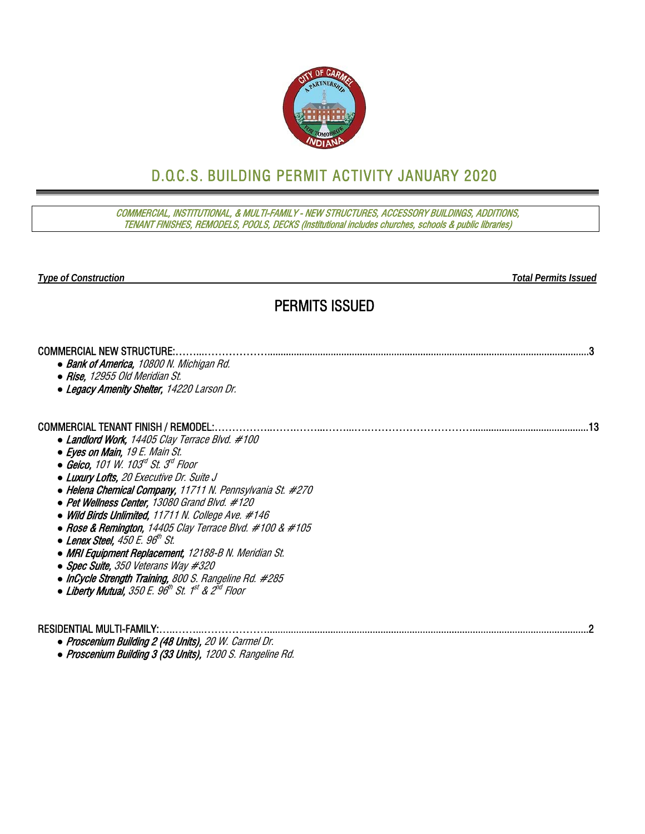

# D.O.C.S. BUILDING PERMIT ACTIVITY JANUARY 2020

COMMERCIAL, INSTITUTIONAL, & MULTI-FAMILY - NEW STRUCTURES, ACCESSORY BUILDINGS, ADDITIONS, TENANT FINISHES, REMODELS, POOLS, DECKS (Institutional includes churches, schools & public libraries)

*Type of Construction Total Permits Issued* 

## PERMITS ISSUED

| <b>COMMERCIAL NEW STRUCTURE:</b>                              |  |
|---------------------------------------------------------------|--|
| • Bank of America, 10800 N. Michigan Rd.                      |  |
| • Rise, 12955 Old Meridian St.                                |  |
| • Legacy Amenity Shelter, 14220 Larson Dr.                    |  |
| <b>COMMERCIAL TENANT FINISH / REMODEL:</b>                    |  |
| • Landlord Work, 14405 Clay Terrace Blvd. #100                |  |
| • Eyes on Main, 19 E. Main St.                                |  |
| $\bullet$ Geico. 101 W. 103d St. 3d Floor                     |  |
| • Luxury Lofts, 20 Executive Dr. Suite J                      |  |
| • Helena Chemical Company, 11711 N. Pennsylvania St. #270     |  |
| • Pet Wellness Center, 13080 Grand Blvd. #120                 |  |
| • Wild Birds Unlimited, 11711 N. College Ave. $\#146$         |  |
| • Rose & Remington, 14405 Clay Terrace Blvd. $\#100 \& \#105$ |  |
| $\bullet$ Lenex Steel, 450 E. 96th St.                        |  |
| • MRI Equipment Replacement, 12188-B N. Meridian St.          |  |
| • Spec Suite, 350 Veterans Way #320                           |  |
| • InCycle Strength Training, 800 S. Rangeline Rd. #285        |  |
| • Liberty Mutual, $350 E$ . $96th St$ . $1st & 2nd Floor$     |  |
|                                                               |  |
| RESIDENTIAL MULTI-FAMILY:                                     |  |

- *●* Proscenium Building 2 (48 Units), 20 W. Carmel Dr.
- *●* Proscenium Building 3 (33 Units), 1200 S. Rangeline Rd.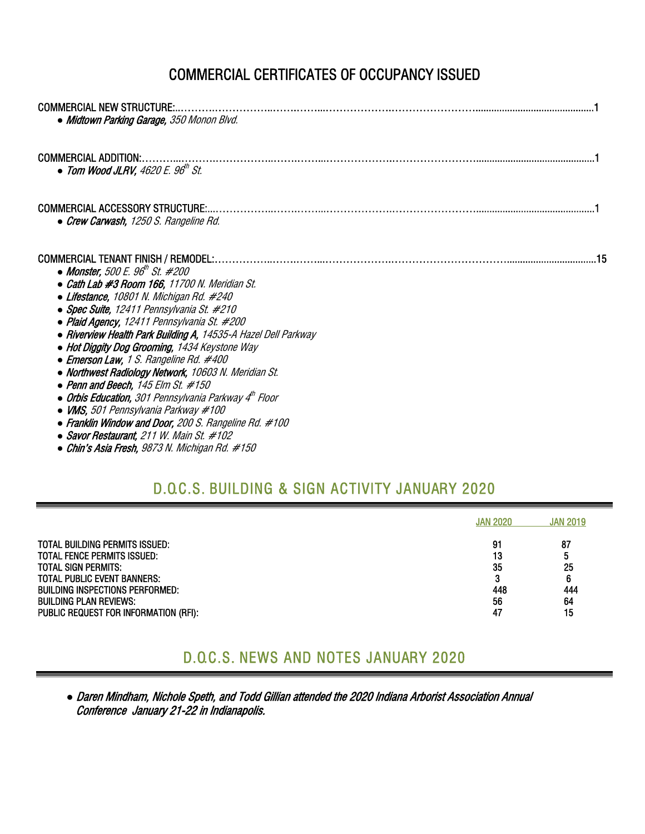# COMMERCIAL CERTIFICATES OF OCCUPANCY ISSUED

| <b>COMMERCIAL NEW STRUCTURE:</b><br>• Midtown Parking Garage, 350 Monon Blvd.                                                                                                                                                                                                                                                                                                                                                                                                                                                                                                                                                                                                                                                                                                |
|------------------------------------------------------------------------------------------------------------------------------------------------------------------------------------------------------------------------------------------------------------------------------------------------------------------------------------------------------------------------------------------------------------------------------------------------------------------------------------------------------------------------------------------------------------------------------------------------------------------------------------------------------------------------------------------------------------------------------------------------------------------------------|
| <b>COMMERCIAL ADDITION:</b><br>• Tom Wood JLRV, $4620 E. 96th St.$                                                                                                                                                                                                                                                                                                                                                                                                                                                                                                                                                                                                                                                                                                           |
| <b>COMMERCIAL ACCESSORY STRUCTURE:</b><br>• Crew Carwash, 1250 S. Rangeline Rd.                                                                                                                                                                                                                                                                                                                                                                                                                                                                                                                                                                                                                                                                                              |
| <b>COMMERCIAL TENANT FINISH / REMODEL:.</b><br>• Monster, 500 E. 96 <sup>th</sup> St. #200<br>• Cath Lab #3 Room 166, 11700 N. Meridian St.<br>• Lifestance, 10801 N. Michigan Rd. #240<br>• Spec Suite, 12411 Pennsylvania St. #210<br>• Plaid Agency, 12411 Pennsylvania St. #200<br>• Riverview Health Park Building A, 14535-A Hazel Dell Parkway<br>• Hot Diggity Dog Grooming, 1434 Keystone Way<br>• Emerson Law, 1 S. Rangeline Rd. #400<br>• Northwest Radiology Network, 10603 N. Meridian St.<br>• Penn and Beech, $145$ Elm St. $#150$<br>• Orbis Education, 301 Pennsylvania Parkway 4 <sup>th</sup> Floor<br>$\bullet$ VMS, 501 Pennsylvania Parkway #100<br>• Franklin Window and Door, 200 S. Rangeline Rd. #100<br>• Savor Restaurant, 211 W. Main St. #102 |

#### *●* Chin's Asia Fresh, 9873 N. Michigan Rd. #150

### D.O.C.S. BUILDING & SIGN ACTIVITY JANUARY 2020

|                                                                                                                                                                                                                                                                            | <b>JAN 2020</b>                             | <b>JAN 2019</b>                       |
|----------------------------------------------------------------------------------------------------------------------------------------------------------------------------------------------------------------------------------------------------------------------------|---------------------------------------------|---------------------------------------|
| <b>TOTAL BUILDING PERMITS ISSUED:</b><br><b>TOTAL FENCE PERMITS ISSUED:</b><br><b>TOTAL SIGN PERMITS:</b><br><b>TOTAL PUBLIC EVENT BANNERS:</b><br><b>BUILDING INSPECTIONS PERFORMED:</b><br><b>BUILDING PLAN REVIEWS:</b><br><b>PUBLIC REQUEST FOR INFORMATION (RFI):</b> | 91<br>13<br>35<br>o<br>Ω<br>448<br>56<br>47 | 87<br>5<br>25<br>6<br>444<br>64<br>15 |

## D.O.C.S. NEWS AND NOTES JANUARY 2020

*●* Daren Mindham, Nichole Speth, and Todd Gillian attended the 2020 Indiana Arborist Association Annual Conference January 21-22 in Indianapolis.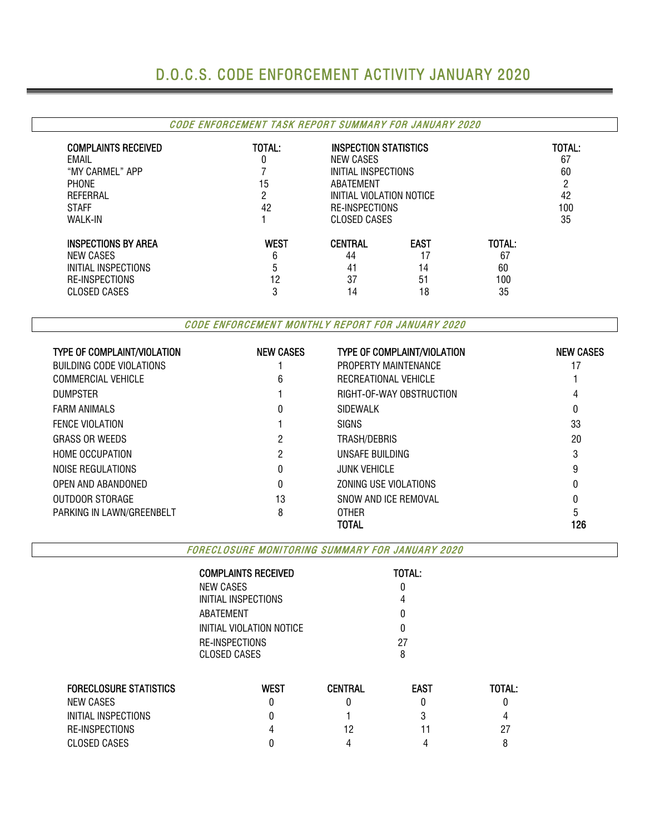# D.O.C.S. CODE ENFORCEMENT ACTIVITY JANUARY 2020

#### CODE ENFORCEMENT TASK REPORT SUMMARY FOR JANUARY 2020

| <b>COMPLAINTS RECEIVED</b><br>EMAIL<br>"MY CARMEL" APP<br><b>PHONE</b><br>REFERRAL<br><b>STAFF</b><br><b>WALK-IN</b> | TOTAL:<br>15<br>2<br>42 | <b>INSPECTION STATISTICS</b><br>NEW CASES<br>INITIAL INSPECTIONS<br>ABATEMENT<br>INITIAL VIOLATION NOTICE<br>RE-INSPECTIONS<br><b>CLOSED CASES</b> |             |        | TOTAL:<br>67<br>60<br>ŋ<br>42<br>100<br>35 |
|----------------------------------------------------------------------------------------------------------------------|-------------------------|----------------------------------------------------------------------------------------------------------------------------------------------------|-------------|--------|--------------------------------------------|
| <b>INSPECTIONS BY AREA</b>                                                                                           | <b>WEST</b>             | <b>CENTRAL</b>                                                                                                                                     | <b>EAST</b> | TOTAL: |                                            |
| NEW CASES                                                                                                            | 6                       | 44                                                                                                                                                 |             | 67     |                                            |
| INITIAL INSPECTIONS                                                                                                  |                         | 41                                                                                                                                                 | 14          | 60     |                                            |
| RE-INSPECTIONS                                                                                                       | 12                      | 37                                                                                                                                                 | 51          | 100    |                                            |
| <b>CLOSED CASES</b>                                                                                                  | n                       | 14                                                                                                                                                 | 18          | 35     |                                            |

CODE ENFORCEMENT MONTHLY REPORT FOR JANUARY 2020

| <b>TYPE OF COMPLAINT/VIOLATION</b> | <b>NEW CASES</b> | <b>TYPE OF COMPLAINT/VIOLATION</b> | <b>NEW CASES</b> |
|------------------------------------|------------------|------------------------------------|------------------|
| BUILDING CODE VIOLATIONS           |                  | PROPERTY MAINTENANCE               | 17               |
| COMMERCIAL VEHICLE                 | 6                | RECREATIONAL VEHICLE               |                  |
| <b>DUMPSTER</b>                    |                  | RIGHT-OF-WAY OBSTRUCTION           | 4                |
| <b>FARM ANIMALS</b>                |                  | <b>SIDEWALK</b>                    | 0                |
| <b>FENCE VIOLATION</b>             |                  | <b>SIGNS</b>                       | 33               |
| <b>GRASS OR WEEDS</b>              | 2                | TRASH/DEBRIS                       | 20               |
| <b>HOME OCCUPATION</b>             | 2                | UNSAFE BUILDING                    | 3                |
| NOISE REGULATIONS                  | 0                | <b>JUNK VEHICLE</b>                | 9                |
| OPEN AND ABANDONED                 | 0                | ZONING USE VIOLATIONS              |                  |
| OUTDOOR STORAGE                    | 13               | SNOW AND ICE REMOVAL               |                  |
| PARKING IN LAWN/GREENBELT          | 8                | <b>OTHER</b>                       |                  |
|                                    |                  | TOTAL                              | 126              |

FORECLOSURE MONITORING SUMMARY FOR JANUARY 2020

|                               | <b>COMPLAINTS RECEIVED</b> |                | TOTAL:      |        |  |  |  |  |
|-------------------------------|----------------------------|----------------|-------------|--------|--|--|--|--|
|                               | <b>NEW CASES</b>           |                |             |        |  |  |  |  |
|                               | INITIAL INSPECTIONS        |                |             |        |  |  |  |  |
|                               | ABATEMENT                  |                |             |        |  |  |  |  |
|                               | INITIAL VIOLATION NOTICE   |                |             |        |  |  |  |  |
|                               | RE-INSPECTIONS             |                | 27          |        |  |  |  |  |
|                               | <b>CLOSED CASES</b>        |                |             |        |  |  |  |  |
| <b>FORECLOSURE STATISTICS</b> | <b>WEST</b>                | <b>CENTRAL</b> | <b>EAST</b> | TOTAL: |  |  |  |  |
| NEW CASES                     | 0                          |                | 0           |        |  |  |  |  |
| INITIAL INSPECTIONS           |                            |                |             |        |  |  |  |  |
| RE-INSPECTIONS                |                            | 12             |             | 27     |  |  |  |  |
| <b>CLOSED CASES</b>           |                            |                |             | 8      |  |  |  |  |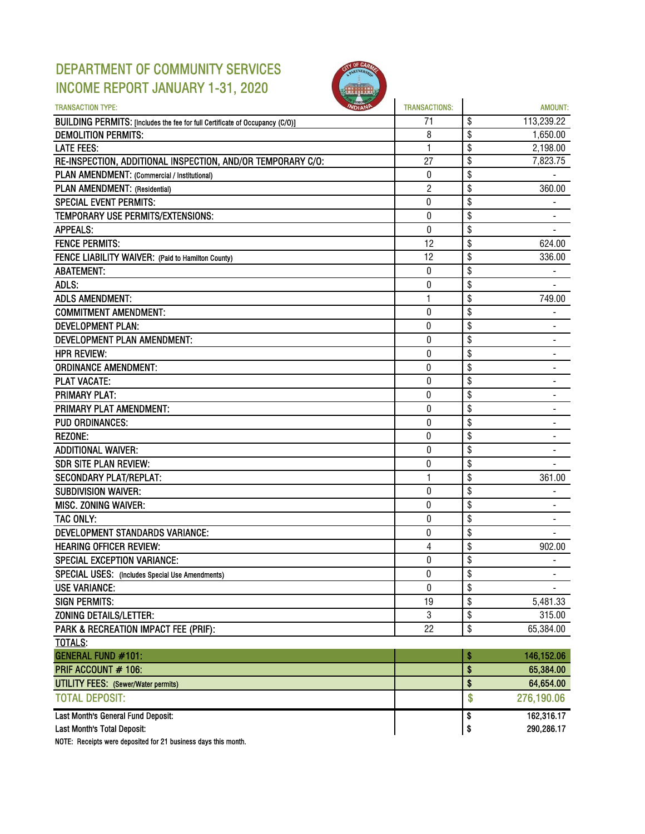## DEPARTMENT OF COMMUNITY SERVICES INCOME REPORT JANUARY 1-31, 2020



| <b>TRANSACTION TYPE:</b>                                                     | <b>TRANSACTIONS:</b> | <b>AMOUNT:</b>       |
|------------------------------------------------------------------------------|----------------------|----------------------|
| BUILDING PERMITS: [Includes the fee for full Certificate of Occupancy (C/O)] | 71                   | \$<br>113,239.22     |
| <b>DEMOLITION PERMITS:</b>                                                   | 8                    | \$<br>1,650.00       |
| <b>LATE FEES:</b>                                                            | 1                    | \$<br>2,198.00       |
| RE-INSPECTION, ADDITIONAL INSPECTION, AND/OR TEMPORARY C/O:                  | 27                   | \$<br>7,823.75       |
| PLAN AMENDMENT: (Commercial / Institutional)                                 | 0                    | \$                   |
| PLAN AMENDMENT: (Residential)                                                | $\overline{c}$       | \$<br>360.00         |
| <b>SPECIAL EVENT PERMITS:</b>                                                | 0                    | \$                   |
| TEMPORARY USE PERMITS/EXTENSIONS:                                            | 0                    | \$                   |
| <b>APPEALS:</b>                                                              | 0                    | \$                   |
| <b>FENCE PERMITS:</b>                                                        | 12                   | \$<br>624.00         |
| FENCE LIABILITY WAIVER: (Paid to Hamilton County)                            | 12                   | \$<br>336.00         |
| <b>ABATEMENT:</b>                                                            | 0                    | \$                   |
| ADLS:                                                                        | 0                    | \$                   |
| <b>ADLS AMENDMENT:</b>                                                       | 1                    | \$<br>749.00         |
| <b>COMMITMENT AMENDMENT:</b>                                                 | 0                    | \$                   |
| <b>DEVELOPMENT PLAN:</b>                                                     | 0                    | \$                   |
| DEVELOPMENT PLAN AMENDMENT:                                                  | 0                    | \$<br>$\blacksquare$ |
| <b>HPR REVIEW:</b>                                                           | 0                    | \$                   |
| <b>ORDINANCE AMENDMENT:</b>                                                  | 0                    | \$                   |
| <b>PLAT VACATE:</b>                                                          | 0                    | \$                   |
| <b>PRIMARY PLAT:</b>                                                         | $\bf{0}$             | \$                   |
| PRIMARY PLAT AMENDMENT:                                                      | 0                    | \$                   |
| <b>PUD ORDINANCES:</b>                                                       | 0                    | \$                   |
| <b>REZONE:</b>                                                               | 0                    | \$                   |
| <b>ADDITIONAL WAIVER:</b>                                                    | 0                    | \$                   |
| <b>SDR SITE PLAN REVIEW:</b>                                                 | 0                    | \$                   |
| <b>SECONDARY PLAT/REPLAT:</b>                                                | 1                    | \$<br>361.00         |
| <b>SUBDIVISION WAIVER:</b>                                                   | 0                    | \$                   |
| MISC. ZONING WAIVER:                                                         | 0                    | \$                   |
| TAC ONLY:                                                                    | 0                    | \$                   |
| DEVELOPMENT STANDARDS VARIANCE:                                              | 0                    | \$                   |
| <b>HEARING OFFICER REVIEW:</b>                                               | $\overline{4}$       | \$<br>902.00         |
| <b>SPECIAL EXCEPTION VARIANCE:</b>                                           | 0                    | \$                   |
| SPECIAL USES: (Includes Special Use Amendments)                              | 0                    | \$<br>٠              |
| <b>USE VARIANCE:</b>                                                         | 0                    | \$                   |
| <b>SIGN PERMITS:</b>                                                         | 19                   | \$<br>5,481.33       |
| <b>ZONING DETAILS/LETTER:</b>                                                | $\mathbf 3$          | \$<br>315.00         |
| PARK & RECREATION IMPACT FEE (PRIF):                                         | 22                   | \$<br>65,384.00      |
| <b>TOTALS:</b>                                                               |                      |                      |
| <b>GENERAL FUND #101:</b>                                                    |                      | \$<br>146,152.06     |
| PRIF ACCOUNT # 106:                                                          |                      | \$<br>65,384.00      |
| <b>UTILITY FEES:</b> (Sewer/Water permits)                                   |                      | \$<br>64,654.00      |
| <b>TOTAL DEPOSIT:</b>                                                        |                      | \$<br>276,190.06     |
| Last Month's General Fund Deposit:                                           |                      | \$<br>162,316.17     |
| Last Month's Total Deposit:                                                  |                      | \$<br>290,286.17     |

NOTE: Receipts were deposited for 21 business days this month.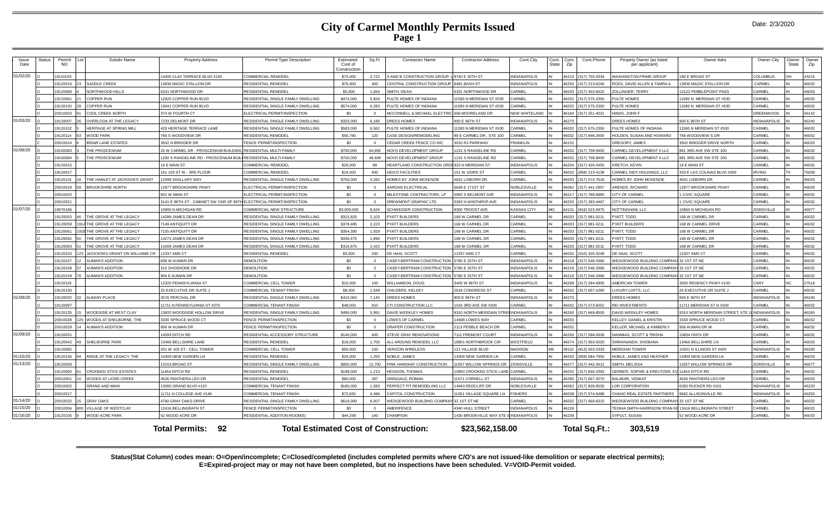### **City of Carmel Monthly Permits Issued Page 1**

| Issue<br>Date        | Status | Permit<br><b>NO</b>  | Subdiv Name                                   | <b>Property Address</b>                                       | Permit Type Description                                   | Estimated<br>Cost of<br>Construction | Sq Ft           | <b>Contractor Name</b>                               | <b>Contractor Address</b>                    | Cont.City                                | Cont.<br><b>State</b> | Cont.<br>Zip   | Cont.Phone                     | Propety Owner (as listed<br>per applicant)      | Owner Adrs                                         | Owner City                  | Owner<br><b>State</b> | Owner<br>Zip   |
|----------------------|--------|----------------------|-----------------------------------------------|---------------------------------------------------------------|-----------------------------------------------------------|--------------------------------------|-----------------|------------------------------------------------------|----------------------------------------------|------------------------------------------|-----------------------|----------------|--------------------------------|-------------------------------------------------|----------------------------------------------------|-----------------------------|-----------------------|----------------|
| 01/02/20             |        | 19110103             |                                               | 14405 CLAY TERRACE BLVD #100                                  | OMMERCIAL REMODE                                          | \$75,000                             | 3,722           | <b>SAND B CONSTRUCTION GROUP</b>                     | 8740 E 30TH ST                               | <b>INDIANAPOLIS</b>                      |                       | 46219          | 317) 755-3334                  | ASHINGTON PRIME GROUP                           | 180 E BROAD ST                                     | COLUMBUS                    |                       | 43215          |
|                      |        | 19120016             | SADDLE CREEK                                  | 13836 MAGIC STALLION DR                                       | RESIDENTIAL REMODEL                                       | \$75,000                             | 400             | CENTRAL CONSTRUCTION GROUP                           | 8481 BASH ST                                 | <b>INDIANAPOLIS</b>                      |                       | 46250          | 317) 213-6246                  | OSS, DAVID ALLEN & TAMRA A                      | 13836 MAGIC STALLION DR                            | CARMEL                      |                       | 46032          |
|                      |        | 19120068             | NORTHWOOD HILLS                               | 6331 NORTHWOOD DR                                             | RESIDENTIAL REMODEL                                       | \$5,000                              | 1.654           | SMITH, DEAN                                          | 331 NORTHWOOD DR                             | CARMEL                                   |                       | 46033          | 317) 403-6422                  | OLLINGER, TERRY                                 | 12122 PEBBLEPOINT PASS                             | CARMEL                      |                       | 46033          |
|                      |        | 19120081             | <b>COPPER RUN</b>                             | 2925 COPPER RUN BLVD                                          | ESIDENTIAL SINGLE FAMILY DWELLING                         | \$474,000                            | 5,824           | PULTE HOMES OF INDIANA                               | 1590 N MERIDIAN ST #530                      | ARMEL                                    |                       | 46032          | 317) 575-2350                  | ULTE HOMES                                      | 11590 N. MERIDIAN ST #530                          | <b>CARMEL</b>               |                       | 46032          |
|                      |        | 9120100              | <b>COPPER RUN</b>                             | 3041 COPPER RUN BLVD                                          | RESIDENTIAL SINGLE FAMILY DWELLING                        | \$574,000                            | 6.283           | PULTE HOMES OF INDIANA                               | 1590 N MERIDIAN ST #530                      | ARMEL                                    |                       | 46032          | 17) 575-2350                   | <b>ULTE HOMES</b>                               | 11590 N. MERIDIAN ST #530                          | <b>ARMEL</b>                |                       | 46032          |
|                      |        | 20010003             | COOL CREEK NORTH                              | 374 W FOURTH CT                                               | LECTRICAL PERMIT/INSPECTION                               | \$0                                  | $\Omega$        | <b>MCCONNELL &amp; MICHAEL ELECTR</b>                | 606 MOORELAND DR                             | <b>JEW WHITELAND</b>                     |                       | 46184          | 17) 251-4021                   | <b>IINDS, JOHN F</b>                            |                                                    | <b>GREENWOOD</b>            |                       | 46142          |
| 01/03/20             |        | 19120007             | <b>OVERLOOK AT THE LEGACY</b>                 | 7233 DELMONT DF                                               | RESIDENTIAL SINGLE FAMILY DWELLING                        | \$325,000                            | 6.185           | <b>DREES HOMES</b>                                   | 900 E 96TH ST                                | <b>INDIANAPOLIS</b>                      |                       | 46270          |                                | <b>REES HOMES</b>                               | 900 E 96TH ST                                      | <b>INDIANAPOLIS</b>         |                       | 46240          |
|                      |        | 19120102             | HERITAGE AT SPRING MILI                       | 429 HERITAGE TERRACE LANE                                     | RESIDENTIAL SINGLE FAMILY DWELLING                        | \$583,000                            | 6,562           | PULTE HOMES OF INDIANA                               | 1590 N MERIDIAN ST #530                      | <b>ARMEL</b>                             |                       | 46032          | 317) 575-2350                  | ULTE HOMES OF INDIANA                           | 11590 N MERIDIAN ST #530                           | CARMEL                      |                       | 46032          |
|                      |        | 19120114             | WOOD PARK                                     | 766 S WOODVIEW DF                                             | RESIDENTIAL REMODE                                        | \$56,765                             | 120             | CASE DESIGN/REMODELING                               | 99 F CARMEL DR., STE 100                     | CARMEL                                   | İIN                   | 46032          | 317) 846-2600                  | <b>IOLDEN, SUSAN AND HOWARD</b>                 | 766 WOODVIEW S DR                                  | CARMEL                      |                       | 46032          |
|                      |        | 20010014             | <b>BRIAR LANE ESTATES</b>                     | 3502 N BRIDGER DR                                             | <b>ENCE PERMIT/INSPECTION</b>                             | \$0                                  | $\Omega$        | CEDAR CREEK FENCE CO INC                             | 3010 RJ PARKWAY                              | <b>RANKLIN</b>                           | <b>IN</b>             | 46131          |                                | <b>REGORY, JAMES</b>                            | 3502 BRIDGER DRIVE NORTH                           | <b>ARMEL</b>                |                       | 46033          |
| 01/06/20             |        | 19100083             | HE PROSCENIUM                                 | 20 W CARMEL DR - PROSCENIUM BUILDING RESIDENTIAL MULTI-FAMILY |                                                           | \$700,000                            | 64.992          | NOVO DEVELOPMENT GROUP                               | 1215 S RANGELINE RD                          | CARMEL                                   | <b>IN</b>             | 46032          | 317) 708-9400                  | ARMEL DEVELOPMENT II LLC                        | 881 3RD AVE SW STE 100                             | CARMEL                      |                       | 46032          |
|                      |        | 19100084             | THE PROSCENIUM                                | 1200 S RANGELINE RD - PROSCENIUM BUI                          | RESIDENTIAL MULTI-FAMILY                                  | \$700,000                            | 49.608          | NOVO DEVELOPMENT GROUP                               | 215 S RANGELINE RD                           | ARMEL                                    |                       | 46032          | 317) 708-9400                  | ARMEL DEVELOPMENT II LLC                        | 381 3RD AVE SW STE 100                             | CARMEL                      |                       | 46032          |
|                      |        | 19120015             |                                               | 19 F MAIN ST                                                  | OMMERCIAL REMODEL                                         | \$25,000                             | 88              | <b>HEARTLAND CONSTRUCTION GRO</b>                    | 923 N MERIDIAN ST                            | <b>INDIANAPOLIS</b>                      |                       | 46204          | 317) 420-2455                  | RETCH, KEVIN                                    | 9 F MAIN ST                                        | ARMEI                       |                       | 46032          |
|                      |        | 19120017             |                                               | 01 103 ST W - 3RD FLOOR                                       | <b>COMMERCIAL REMODEL</b>                                 | \$16,000                             | 400             | <b>GEICO FACILITIES</b>                              | 01 W 103RD ST                                | CARMEL                                   | IN                    | 46032          | 858) 213-4138                  | ARMEL INDY HOLDINGS, LLC                        | 433 E LAS COLINAS BLVD #300                        | RVING                       |                       | 75039          |
|                      |        | 19120116             | THE HAMLET AT JACKSON'S GRANT                 | 12098 SIGILLARY WAY                                           | RESIDENTIAL SINGLE FAMILY DWELLING                        | \$750,000                            | 4.282           | HOMES BY JOHN MCKENZIE                               | 4631 LISBORN DR                              | CARMEL                                   |                       | 46033          | 317) 574-7616                  | <b>IOMES BY JOHN MCKENZIE</b>                   | 4631 LISBORN DR                                    | ARME                        |                       | 46033          |
|                      |        | 20010018             | <b>BROOKSHIRE NORTH</b>                       | 2977 BROOKSHIRE PKWY                                          | <b>LECTRICAL PERMIT/INSPECTION</b>                        | \$0                                  | $\Omega$        | <b>ARONS ELECTRICAL</b>                              | 648 E 171ST ST                               | <b>NOBLESVILL</b>                        |                       | 46062          | 317) 441-2957                  | RENDS, RICHARD                                  | 12977 BROOKSHIRE PKWY                              | CARMEL                      |                       | 46033          |
|                      |        | 20010020             |                                               | <b>802 W MAIN ST</b>                                          | LECTRICAL PERMIT/INSPECTION                               | \$0                                  | $\overline{0}$  | MILESTONE CONTRACTORS, LP                            | <b>950 S BELMONT AVE</b>                     | <b>INDIANAPOLIS</b>                      |                       | 46217          | 317) 788-6885                  | <b>TY OF CARMEI</b>                             | <b>I CIVIC SQUARE</b>                              | <b>ARMF</b>                 |                       | 46032          |
|                      |        | 20010021             |                                               | 3141 E 96TH ST - CABINET SW CNR OF 96T                        | ELECTRICAL PERMIT/INSPECTION                              | \$0                                  | $\Omega$        | DREWMONT GRAPHIC LTD                                 | 5343 N WINTHROP AVE                          | <b>INDIANAPOLIS</b>                      |                       | 46220          | 317) 283-4467                  | <b>ITY OF CARME</b>                             | 1 CIVIC SQUARE                                     | CARMEL                      |                       | 46032          |
| 01/07/20             |        | 19070196             |                                               | 10800 N MICHIGAN RD                                           | COMMERCIAL NEW STRUCTURE                                  | \$3,000,000                          | 8.524           | SCHWEIGER CONSTRUCTION                               | <b>B300 TROOST AVE</b>                       | KANSAS CITY                              | <b>MO</b>             | 64131          | 816) 523-5875                  | <b>IOTTINGHAM, LLC</b>                          | 10650 N MICHIGAN RD                                | ZIONSVILL                   |                       | 46077          |
|                      |        | 19120053             | THE GROVE AT THE LEGACY                       | 14289 JAMES DEAN DR                                           | RESIDENTIAL SINGLE FAMILY DWELLING                        | \$315,825                            | 2.103           | <b>PYATT BUILDERS</b>                                | 168 W CARMEL DR                              | CARMEL                                   | <b>IN</b>             | 46033          | 317) 981-0211                  | YATT, TODD                                      | 168 W CARMEL DR                                    | CARMEL                      |                       | 46032          |
|                      |        | 19120059             | 14 THE GROVE AT THE LEGACY                    | 7149 ANTIQUITY DR                                             | RESIDENTIAL SINGLE FAMILY DWELLING                        | \$378,485                            | 2.223           | PYATT BUILDERS                                       | 68 W CARMEL DR                               | CARMEL                                   | IN                    | 46033          | 317) 981-0211                  | YATT BUILDERS                                   | 168 W CARMEL DRIVE                                 | CARMEL                      |                       | 46032          |
|                      |        | 19120061             | THE GROVE AT THE LEGACY                       | 155 ANTIQUITY DR                                              | RESIDENTIAL SINGLE FAMILY DWELLING                        | \$354,390                            | 1,929           | PYATT BUILDERS                                       | 68 W CARMEL DR                               | CARMEL                                   |                       | 46033          | 317) 981-0211                  | YATT, TODD                                      | 168 W CARMEL DR                                    | ARMEI                       |                       | 46032          |
|                      |        | 9120062              | HE GROVE AT THE LEGACY                        | 4273 JAMES DEAN DR                                            | <b>ESIDENTIAL SINGLE FAMILY DWELLING</b>                  | \$330,475                            | 1.896           | YATT BUILDERS                                        | 68 W CARMEL DR                               | CARMEL                                   |                       | 46033          | 317) 981-0211                  | YATT. TODD                                      | 168 W CARMEL DR                                    | ARMEI                       |                       | 46032          |
|                      |        | 19120063             | HE GROVE AT THE LEGACY                        | 4269 JAMES DEAN DR                                            | RESIDENTIAL SINGLE FAMILY DWELLING                        | \$316,875                            | 2.422           | <b>PYATT BUILDERS</b>                                | 168 W CARMEL DR                              | CARMEL                                   |                       | 46033          | 317) 981-0211                  | YATT. TODD                                      | 168 W CARMEL DR                                    | CARMEL                      |                       | 46032          |
|                      |        | 9120103              | ACKSON'S GRANT ON WILLIAMS CR                 | 12337 AMS CT                                                  | RESIDENTIAL REMODE                                        | \$3.000                              | 200             | DE HAAL SCOTT                                        | 2337 AMS CT                                  | CARMEL                                   |                       | 46032          | 10) 325-3248                   | F HAAL SCOT                                     | 12337 AMS CT                                       | <b>ARMEL</b>                |                       | 46032          |
|                      |        | 19120107             | AUMAN'S ADDITION                              | 836 W AUMAN DR                                                | DEMOLITION                                                | \$0                                  | $\Omega$        | CASEY-BERTRAM CONSTRUCTION                           | 780 E 25TH ST                                | <b>INDIANAPOLIS</b>                      |                       | 46218          | 317) 546-3366                  | EDGEWOOD BUILDING COMPANY 32 1ST ST NE          |                                                    | CARMEL                      |                       | 46032          |
|                      |        | 19120108             | <b>AUMAN'S ADDITION</b>                       | 310 SHOSHONE DR                                               | DEMOLITION                                                | \$0                                  | $\Omega$        | <b>CASEY-BERTRAM CONSTRUCTION</b>                    | 780 E 25TH ST                                | <b>INDIANAPOLIS</b>                      |                       | 46218          | 317) 546-3366                  | EDGEWOOD BUILDING COMPANY 32 1ST ST NE          |                                                    | CARMEL                      |                       | 46032          |
|                      |        | 19120109             | <b>AUMAN'S ADDITION</b>                       | 906 E AUMAN DR                                                | <b>DEMOLITION</b>                                         | \$0                                  | $\Omega$        | CASEY-BERTRAM CONSTRUCTION                           | 5780 E 25TH ST                               | <b>NDIANAPOLIS</b>                       |                       | 46218          | 317) 546-3366                  | EDGEWOOD BUILDING COMPANY 32 1ST ST NE          |                                                    | CARMEL                      |                       | 46032          |
|                      |        | 19120118             |                                               | 12325 PENNSYLVANIA ST                                         | OMMERCIAL CELL TOWER                                      | \$15,000                             | 100             | VILLIAMSON, DOUG                                     | 3405 W 96TH ST                               | NDIANAPOLIS                              |                       | 46268          | 317) 294-6905                  | <b>MERICAN TOWER</b>                            | 3500 REGENCY PKWY #100                             | CARY                        | NC.                   | 27518          |
|                      |        | 19120130             |                                               | 20 EXECUTIVE DR SUITE J                                       | OMMERCIAL TENANT FINISH                                   | \$8,000                              | 1,548           | CHILDERS, KELSEY                                     | 2618 CONGRESS ST                             | <b>ARMEL</b>                             |                       | 46032          | 317) 607-1090                  | JXURY LOFTS, LLC                                | 20 EXECUTIVE DR SUITE J                            | CARMEL                      |                       | 46032          |
| 01/08/20             |        | 19120032             | <b>ALBANY PLACE</b>                           | <b>3576 PERCIVAL DR</b>                                       | RESIDENTIAL SINGLE FAMILY DWELLING                        | \$410,000                            | 7.145           | OREES HOMES                                          | 900 E 96TH ST                                | NDIANAPOLIS                              |                       | 46270          |                                | <b>REES HOMES</b>                               | 900 E 96TH ST                                      | <b>NDIANAPOLIS</b>          |                       | 46240          |
|                      |        | 19120097             |                                               | 11711 N PENNSYLVANIA ST #270                                  | <b>COMMERCIAL TENANT FINISH</b>                           | \$48,000                             | 910             | <b>CTI CONSTRUCTION LLC</b>                          | 016 3RD AVE SW #200                          | ARMEI                                    |                       | 46032          | 17) 573-6052                   | <b>EI INVESTMENTS</b>                           | 11711 MERIDIAN ST N #200                           | ARME                        |                       | 46032          |
|                      |        | 19120135             | WOODSIDE AT WEST CLAY                         | 3820 WOODSIDE HOLLOW DRIVE                                    | RESIDENTIAL SINGLE FAMILY DWELLING                        | \$490,000                            | 5.991           | DAVID WEEKLEY HOMES                                  | 9310 NORTH MERIDIAN STI                      | <b>INDIANAPOLIS</b>                      |                       | 46260          | 317) 669-8500                  | AVID WEEKLEY HOMES                              | 9310 NORTH MERIDIAN STREET, STE                    | NDIANAPOLIS                 |                       | 46260          |
|                      |        | 20010028             | <b><i>NOODS AT SHELBORNE, THE</i></b>         | 3330 SPRUCE WOOD CT                                           | <b>ENCE PERMIT/INSPECTION</b>                             | \$0                                  | $\Omega$        | OWES OF CARMEI                                       | 4598 LOWES WAY                               | CARMEL                                   |                       | 46033          |                                | ELLEY, DANIEL & KRISTIN                         | 3330 SPRUCE WOOD CT                                | <b>ARMEL</b>                |                       | 46032          |
| 01/09/20             |        | 20010029             | <b>AUMAN'S ADDITION</b>                       | 906 W AUMAN DR                                                | <b>ENCE PERMIT/INSPECTION</b>                             | \$0                                  | $\Omega$        | DRAPER CONSTRUCTION                                  | 2113 PEBBLE BEACH DR                         | ARMEL                                    |                       | 46032          |                                | KELLER, MICHAEL & KIMBERLY                      | 906 AUMAN DR V                                     | CARMEL                      |                       | 46032          |
|                      |        | 1912003              |                                               | 10093 DITCH RD                                                | RESIDENTIAL ACCESSORY STRUCTURE                           | \$140,000                            | 400             | STEVE GRAY RENOVATIONS                               | 111 FREMONT COURT                            | <b>INDIANAPOLI</b>                       | <b>IN</b>             | 46256          | 317) 596-0928                  | <b>IAHMIAS, SCOTT &amp; TRISHA</b>              | 10834 ONYX DF                                      | CARMEL                      |                       | 46032<br>46033 |
|                      |        | 19120042             | SHELBORNE PARK                                | 13466 BELLSHIRE LANE                                          | RESIDENTIAL REMODEL                                       | \$18,000                             | 1.700           | ALL AROUND REMODEL LLC                               | 8901 NORTHBROOK CIR                          | VESTFIELD                                | MS                    | 46074<br>39110 | 317) 903-0020                  | HRIANANDH, SHOBANA                              | 3466 BELLSHIRE LN                                  | CARMEL                      |                       |                |
|                      |        | 19120082             |                                               | 201 W 103 ST - CELL TOWER                                     | COMMERCIAL CELL TOWER                                     | \$50,000                             | 100             | <b>/ERIZON WIRELESS</b>                              | 121 VILLAGE BLVD                             | <b>MADISON</b>                           |                       |                | 813) 503-2333                  | <b>JERIDIAN TOWER</b>                           | 10201 N ILLINOIS ST #400                           | <b>NDIANAPOLI</b>           |                       | 46290<br>46033 |
| 01/10/20<br>01/13/20 |        | 19120136<br>19120039 | RIDGE AT THE LEGACY. THE                      | 14309 NEW GARDEN LN<br>13153 BROAD ST                         | RESIDENTIAL REMODEL<br>RESIDENTIAL SINGLE FAMILY DWELLING | \$25,000<br>\$950,000                | 1.250<br>12,700 | NOBLE, JAMES<br>PINK HARDHAT CONSTRUCTION            | 4309 NEW GARDEN LN<br>1557 WILLOW SPRINGS DR | CARMEL<br><b>ZIONSVILLE</b>              | IN<br>IN              | 46033<br>46077 | 859) 684-7955<br>317) 442-3412 | <b>OBLE, JAMES AND HEATHER</b><br>MITH. MELISSA | 14309 NEW GARDEN LN<br>11557 WILLOW SPRINGS DR     | CARMEL<br><b>ZIONSVILLI</b> |                       | 46077          |
|                      |        | 9120060              | CROOKED STICK ESTATES                         | 1454 DITCH RD                                                 | RESIDENTIAL REMODEL                                       | \$198,000                            | 1.213           | <b>HESSION, THOMAS</b>                               | 0850 CROOKED STICK LANE CARMEL               |                                          |                       | 46032          | 17) 846-3393                   | ERBER, SOPHIE & KREUTZER, EV                    | 11454 DITCH RD                                     | <b>ARMEL</b>                |                       | 46032          |
|                      |        |                      |                                               |                                                               |                                                           |                                      |                 |                                                      |                                              |                                          |                       |                |                                |                                                 |                                                    |                             |                       | 46033          |
|                      |        | 20010001<br>20010002 | WOODS AT LIONS CREEK<br><b>GRAND AND MAIN</b> | <b>4526 PANTHERA LEO DR</b><br>13080 GRAND BLVD #120          | RESIDENTIAL REMODEL<br>COMMERCIAL TENANT FINISH           | \$80,000<br>\$180,000                | 287<br>1.583    | <b>GRINGAUZ, ROMAN</b><br>PERFECT FIT REMODELING LLC | 1071 CORNELL ST<br>4943 REDCLIFF DR          | <b>NDIANAPOLIS</b><br><b>VOBLESVILLE</b> |                       | 46280<br>46062 | 317) 667-3270<br>317) 828-9530 | ALMURI, VENKAT<br>OR CORPORATION                | <b>4526 PANTHERA LEO DR</b><br>6350 RUCKER RD #101 | CARMEL<br>NDIANAPOLIS       |                       | 46220          |
|                      |        | 20010017             |                                               | 11711 N COLLEGE AVE #146                                      | COMMERCIAL TENANT FINISH                                  | \$72,650                             | 4.496           | CAPITOL CONSTRUCTION                                 | 1051 VILLAGE SQUARE LN                       | <b>ISHERS</b>                            |                       | 46038          | 317) 574-5488                  | HANO REAL ESTATE PARTNERS                       | 9662 ALLISONVILLE RD                               | <b>INDIANAPOLIS</b>         |                       | 46250          |
| 01/14/20             |        | 20010032             | <b>GRAY OAKS</b>                              | 4760 GRAY OAKS DRIVE                                          | RESIDENTIAL SINGLE FAMILY DWELLING                        | \$616,000                            | 6,007           | <b>NEDGEWOOD BUILDING COMPAN</b>                     | 32 1ST ST NE                                 | ARMEL                                    | <b>IN</b>             | 46032          | 17) 669-6315                   | EDGEWOOD BUILDING COMPANY 32 1ST ST NE          |                                                    | ARMEI                       |                       | 46032          |
| 01/15/20             |        | 20010056             | VILLAGE OF WESTCLAY                           | 12416 BELLINGRATH ST                                          | FENCE PERMIT/INSPECTION                                   | \$0                                  | $\Omega$        | <b>MERIFENCE</b>                                     | 4340 HULL STREET                             | <b>NDIANAPOLIS</b>                       |                       | 46226          |                                | EISHA SMITH-HARRISON/ RYAN KE                   | 12416 BELLINGRATH STREET                           | <b>ARMEL</b>                |                       | 46032          |
| 01/16/20             |        | 19120105             | <b>WOOD ACRE PARK</b>                         | 52 WOOD ACRE DR                                               | RESIDENTIAL ADDITION-ROOM(S)                              | \$44.299                             | 140             | CHAMPION                                             | 435 BROOKVILLE WAY STE                       | <b>EINDIANAPOLIS</b>                     |                       | 46239          |                                | <b>YPULT, SUSAN</b>                             | 52 WOOD ACRE DR                                    | CARMEL                      |                       | 46033          |
|                      |        |                      |                                               |                                                               |                                                           |                                      |                 |                                                      |                                              |                                          |                       |                |                                |                                                 |                                                    |                             |                       |                |
|                      |        |                      |                                               | <b>Total Permits: 92</b>                                      | <b>Total Estimated Cost of Construction:</b>              |                                      | \$23,562,158.00 |                                                      |                                              |                                          | Total Sq.Ft.:         | 303.519        |                                |                                                 |                                                    |                             |                       |                |

**Status(Stat Column) codes mean: O=Open/incomplete; C=Closed/completed (includes completed permits where C/O's are not issued-like demolition or separate electrical permits); E=Expired-project may or may not have been completed, but no inspections have been scheduled. V=VOID-Permit voided.**